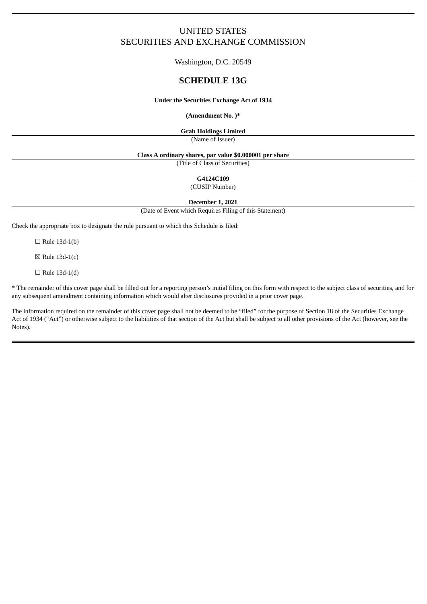# UNITED STATES SECURITIES AND EXCHANGE COMMISSION

Washington, D.C. 20549

## **SCHEDULE 13G**

#### **Under the Securities Exchange Act of 1934**

#### **(Amendment No. )\***

**Grab Holdings Limited**

(Name of Issuer)

#### **Class A ordinary shares, par value \$0.000001 per share**

(Title of Class of Securities)

**G4124C109**

(CUSIP Number)

**December 1, 2021**

(Date of Event which Requires Filing of this Statement)

Check the appropriate box to designate the rule pursuant to which this Schedule is filed:

 $\Box$  Rule 13d-1(b)

 $\boxtimes$  Rule 13d-1(c)

 $\Box$  Rule 13d-1(d)

\* The remainder of this cover page shall be filled out for a reporting person's initial filing on this form with respect to the subject class of securities, and for any subsequent amendment containing information which would alter disclosures provided in a prior cover page.

The information required on the remainder of this cover page shall not be deemed to be "filed" for the purpose of Section 18 of the Securities Exchange Act of 1934 ("Act") or otherwise subject to the liabilities of that section of the Act but shall be subject to all other provisions of the Act (however, see the Notes).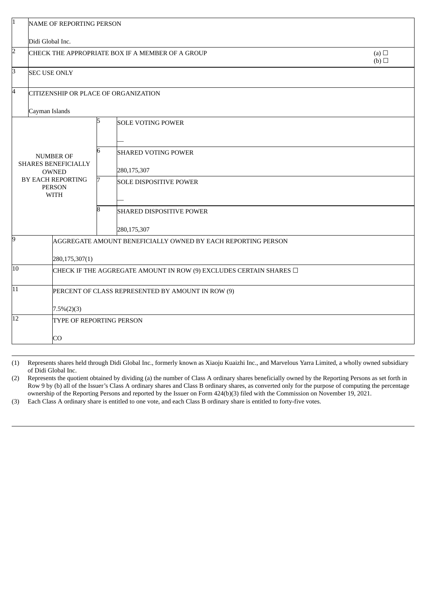|                                                                                                              | <b>NAME OF REPORTING PERSON</b>                                         |                                                              |                                 |  |  |  |  |  |
|--------------------------------------------------------------------------------------------------------------|-------------------------------------------------------------------------|--------------------------------------------------------------|---------------------------------|--|--|--|--|--|
|                                                                                                              | Didi Global Inc.                                                        |                                                              |                                 |  |  |  |  |  |
| $\overline{2}$                                                                                               | CHECK THE APPROPRIATE BOX IF A MEMBER OF A GROUP                        | (a) $\Box$<br>(b)                                            |                                 |  |  |  |  |  |
| В                                                                                                            | <b>SEC USE ONLY</b>                                                     |                                                              |                                 |  |  |  |  |  |
| 4                                                                                                            | CITIZENSHIP OR PLACE OF ORGANIZATION                                    |                                                              |                                 |  |  |  |  |  |
|                                                                                                              | Cayman Islands                                                          |                                                              |                                 |  |  |  |  |  |
|                                                                                                              |                                                                         | 5                                                            | <b>SOLE VOTING POWER</b>        |  |  |  |  |  |
| <b>NUMBER OF</b><br>SHARES BENEFICIALLY<br><b>OWNED</b><br>BY EACH REPORTING<br><b>PERSON</b><br><b>WITH</b> |                                                                         |                                                              |                                 |  |  |  |  |  |
|                                                                                                              |                                                                         | 6                                                            | <b>SHARED VOTING POWER</b>      |  |  |  |  |  |
|                                                                                                              |                                                                         |                                                              | 280,175,307                     |  |  |  |  |  |
|                                                                                                              |                                                                         | 7                                                            | <b>SOLE DISPOSITIVE POWER</b>   |  |  |  |  |  |
|                                                                                                              |                                                                         |                                                              |                                 |  |  |  |  |  |
|                                                                                                              |                                                                         | 8                                                            | <b>SHARED DISPOSITIVE POWER</b> |  |  |  |  |  |
|                                                                                                              |                                                                         |                                                              | 280,175,307                     |  |  |  |  |  |
| 9                                                                                                            |                                                                         | AGGREGATE AMOUNT BENEFICIALLY OWNED BY EACH REPORTING PERSON |                                 |  |  |  |  |  |
|                                                                                                              | 280,175,307(1)                                                          |                                                              |                                 |  |  |  |  |  |
| 10                                                                                                           | CHECK IF THE AGGREGATE AMOUNT IN ROW (9) EXCLUDES CERTAIN SHARES $\Box$ |                                                              |                                 |  |  |  |  |  |
| $\overline{11}$                                                                                              |                                                                         | PERCENT OF CLASS REPRESENTED BY AMOUNT IN ROW (9)            |                                 |  |  |  |  |  |
|                                                                                                              | $7.5\%(2)(3)$                                                           |                                                              |                                 |  |  |  |  |  |
| 12                                                                                                           |                                                                         | TYPE OF REPORTING PERSON                                     |                                 |  |  |  |  |  |
|                                                                                                              | CO                                                                      |                                                              |                                 |  |  |  |  |  |

(1) Represents shares held through Didi Global Inc., formerly known as Xiaoju Kuaizhi Inc., and Marvelous Yarra Limited, a wholly owned subsidiary of Didi Global Inc.

(2) Represents the quotient obtained by dividing (a) the number of Class A ordinary shares beneficially owned by the Reporting Persons as set forth in Row 9 by (b) all of the Issuer's Class A ordinary shares and Class B ordinary shares, as converted only for the purpose of computing the percentage ownership of the Reporting Persons and reported by the Issuer on Form 424(b)(3) filed with the Commission on November 19, 2021.

(3) Each Class A ordinary share is entitled to one vote, and each Class B ordinary share is entitled to forty-five votes.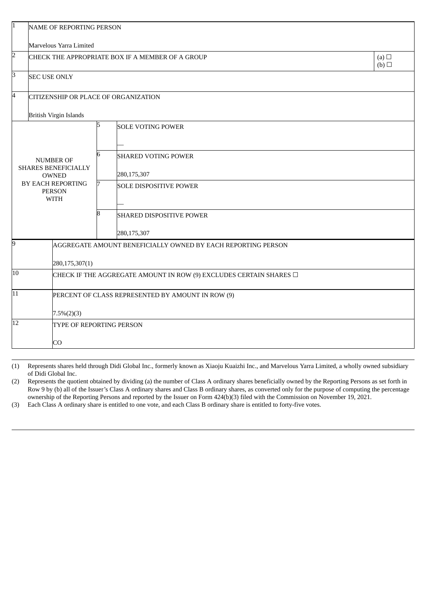| 1                                                                                                                   | NAME OF REPORTING PERSON                          |                                                                         |                                 |                          |  |  |  |  |  |
|---------------------------------------------------------------------------------------------------------------------|---------------------------------------------------|-------------------------------------------------------------------------|---------------------------------|--------------------------|--|--|--|--|--|
|                                                                                                                     |                                                   | Marvelous Yarra Limited                                                 |                                 |                          |  |  |  |  |  |
| $\overline{2}$                                                                                                      | CHECK THE APPROPRIATE BOX IF A MEMBER OF A GROUP  |                                                                         |                                 |                          |  |  |  |  |  |
| 3                                                                                                                   |                                                   | <b>SEC USE ONLY</b>                                                     |                                 |                          |  |  |  |  |  |
| 4                                                                                                                   |                                                   | <b>CITIZENSHIP OR PLACE OF ORGANIZATION</b>                             |                                 |                          |  |  |  |  |  |
|                                                                                                                     |                                                   | <b>British Virgin Islands</b>                                           |                                 |                          |  |  |  |  |  |
|                                                                                                                     |                                                   |                                                                         |                                 | <b>SOLE VOTING POWER</b> |  |  |  |  |  |
| <b>NUMBER OF</b><br><b>SHARES BENEFICIALLY</b><br><b>OWNED</b><br>BY EACH REPORTING<br><b>PERSON</b><br><b>WITH</b> |                                                   |                                                                         |                                 |                          |  |  |  |  |  |
|                                                                                                                     |                                                   | 6                                                                       | <b>SHARED VOTING POWER</b>      |                          |  |  |  |  |  |
|                                                                                                                     |                                                   |                                                                         | 280,175,307                     |                          |  |  |  |  |  |
|                                                                                                                     |                                                   |                                                                         | <b>SOLE DISPOSITIVE POWER</b>   |                          |  |  |  |  |  |
|                                                                                                                     |                                                   |                                                                         |                                 |                          |  |  |  |  |  |
|                                                                                                                     |                                                   |                                                                         | <b>SHARED DISPOSITIVE POWER</b> |                          |  |  |  |  |  |
|                                                                                                                     |                                                   |                                                                         |                                 | 280,175,307              |  |  |  |  |  |
| 9                                                                                                                   |                                                   | AGGREGATE AMOUNT BENEFICIALLY OWNED BY EACH REPORTING PERSON            |                                 |                          |  |  |  |  |  |
|                                                                                                                     |                                                   |                                                                         |                                 |                          |  |  |  |  |  |
| $\overline{10}$                                                                                                     |                                                   | CHECK IF THE AGGREGATE AMOUNT IN ROW (9) EXCLUDES CERTAIN SHARES $\Box$ |                                 |                          |  |  |  |  |  |
| $\overline{11}$                                                                                                     | PERCENT OF CLASS REPRESENTED BY AMOUNT IN ROW (9) |                                                                         |                                 |                          |  |  |  |  |  |
|                                                                                                                     |                                                   | $7.5\%(2)(3)$                                                           |                                 |                          |  |  |  |  |  |
| 12                                                                                                                  |                                                   | TYPE OF REPORTING PERSON                                                |                                 |                          |  |  |  |  |  |
|                                                                                                                     |                                                   | CO                                                                      |                                 |                          |  |  |  |  |  |

(1) Represents shares held through Didi Global Inc., formerly known as Xiaoju Kuaizhi Inc., and Marvelous Yarra Limited, a wholly owned subsidiary of Didi Global Inc.

(2) Represents the quotient obtained by dividing (a) the number of Class A ordinary shares beneficially owned by the Reporting Persons as set forth in Row 9 by (b) all of the Issuer's Class A ordinary shares and Class B ordinary shares, as converted only for the purpose of computing the percentage ownership of the Reporting Persons and reported by the Issuer on Form 424(b)(3) filed with the Commission on November 19, 2021.

(3) Each Class A ordinary share is entitled to one vote, and each Class B ordinary share is entitled to forty-five votes.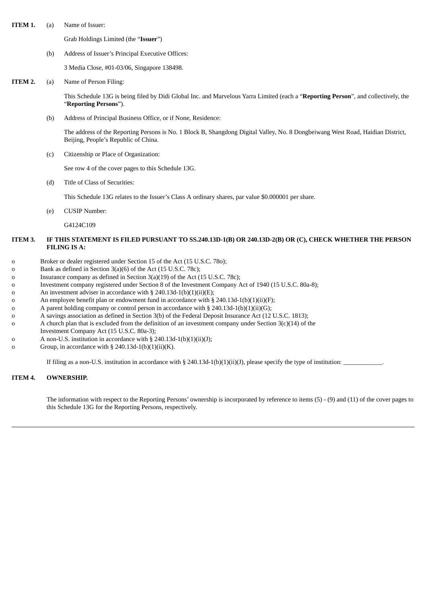**ITEM 1.** (a) Name of Issuer:

Grab Holdings Limited (the "**Issuer**")

(b) Address of Issuer's Principal Executive Offices:

3 Media Close, #01-03/06, Singapore 138498.

**ITEM 2.** (a) Name of Person Filing:

This Schedule 13G is being filed by Didi Global Inc. and Marvelous Yarra Limited (each a "**Reporting Person**", and collectively, the "**Reporting Persons**").

(b) Address of Principal Business Office, or if None, Residence:

The address of the Reporting Persons is No. 1 Block B, Shangdong Digital Valley, No. 8 Dongbeiwang West Road, Haidian District, Beijing, People's Republic of China.

(c) Citizenship or Place of Organization:

See row 4 of the cover pages to this Schedule 13G.

(d) Title of Class of Securities:

This Schedule 13G relates to the Issuer's Class A ordinary shares, par value \$0.000001 per share.

(e) CUSIP Number:

G4124C109

### ITEM 3. IF THIS STATEMENT IS FILED PURSUANT TO SS.240.13D-1(B) OR 240.13D-2(B) OR (C), CHECK WHETHER THE PERSON **FILING IS A:**

- o Broker or dealer registered under Section 15 of the Act (15 U.S.C. 78o);
- o Bank as defined in Section 3(a)(6) of the Act (15 U.S.C. 78c);
- o Insurance company as defined in Section 3(a)(19) of the Act (15 U.S.C. 78c);
- o Investment company registered under Section 8 of the Investment Company Act of 1940 (15 U.S.C. 80a-8);
- o An investment adviser in accordance with § 240.13d-1(b)(1)(ii)(E);
- o An employee benefit plan or endowment fund in accordance with § 240.13d-1(b)(1)(ii)(F);
- o A parent holding company or control person in accordance with  $\S 240.13d-1(b)(1)(ii)(G);$
- o A savings association as defined in Section 3(b) of the Federal Deposit Insurance Act (12 U.S.C. 1813);
- o A church plan that is excluded from the definition of an investment company under Section  $3(c)(14)$  of the
- Investment Company Act (15 U.S.C. 80a-3);
- o A non-U.S. institution in accordance with § 240.13d-1(b)(1)(ii)(J);
- o Group, in accordance with § 240.13d-1(b)(1)(ii)(K).

If filing as a non-U.S. institution in accordance with  $\S$  240.13d-1(b)(1)(ii)(J), please specify the type of institution:

#### **ITEM 4. OWNERSHIP.**

The information with respect to the Reporting Persons' ownership is incorporated by reference to items (5) - (9) and (11) of the cover pages to this Schedule 13G for the Reporting Persons, respectively.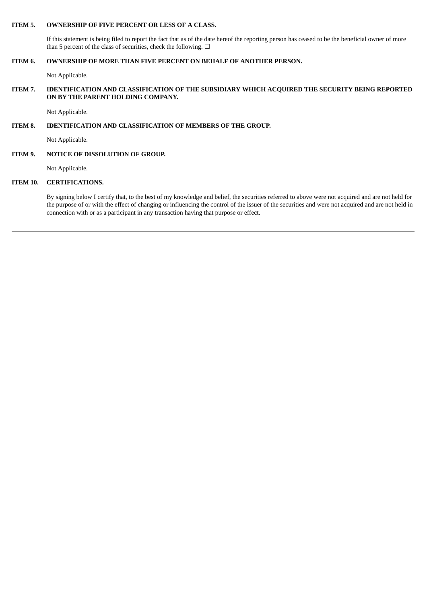#### **ITEM 5. OWNERSHIP OF FIVE PERCENT OR LESS OF A CLASS.**

If this statement is being filed to report the fact that as of the date hereof the reporting person has ceased to be the beneficial owner of more than 5 percent of the class of securities, check the following.  $\Box$ 

### **ITEM 6. OWNERSHIP OF MORE THAN FIVE PERCENT ON BEHALF OF ANOTHER PERSON.**

Not Applicable.

#### **ITEM 7. IDENTIFICATION AND CLASSIFICATION OF THE SUBSIDIARY WHICH ACQUIRED THE SECURITY BEING REPORTED ON BY THE PARENT HOLDING COMPANY.**

Not Applicable.

### **ITEM 8. IDENTIFICATION AND CLASSIFICATION OF MEMBERS OF THE GROUP.**

Not Applicable.

### **ITEM 9. NOTICE OF DISSOLUTION OF GROUP.**

Not Applicable.

#### **ITEM 10. CERTIFICATIONS.**

By signing below I certify that, to the best of my knowledge and belief, the securities referred to above were not acquired and are not held for the purpose of or with the effect of changing or influencing the control of the issuer of the securities and were not acquired and are not held in connection with or as a participant in any transaction having that purpose or effect.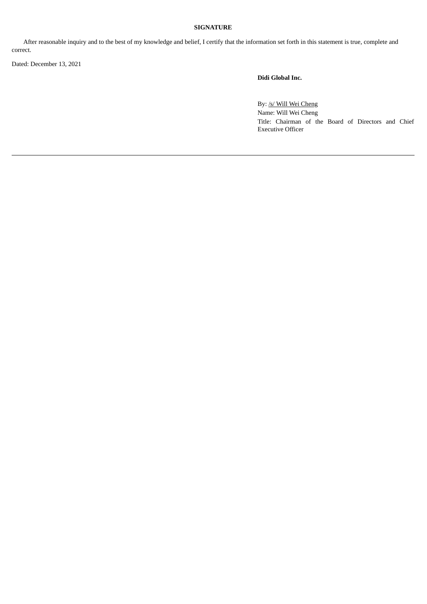## **SIGNATURE**

After reasonable inquiry and to the best of my knowledge and belief, I certify that the information set forth in this statement is true, complete and correct.

Dated: December 13, 2021

**Didi Global Inc.**

By: /s/ Will Wei Cheng Name: Will Wei Cheng Title: Chairman of the Board of Directors and Chief Executive Officer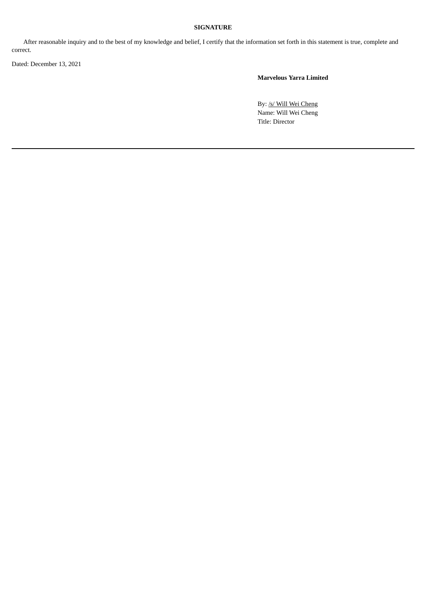## **SIGNATURE**

After reasonable inquiry and to the best of my knowledge and belief, I certify that the information set forth in this statement is true, complete and correct.

Dated: December 13, 2021

**Marvelous Yarra Limited**

By: /s/ Will Wei Cheng Name: Will Wei Cheng Title: Director